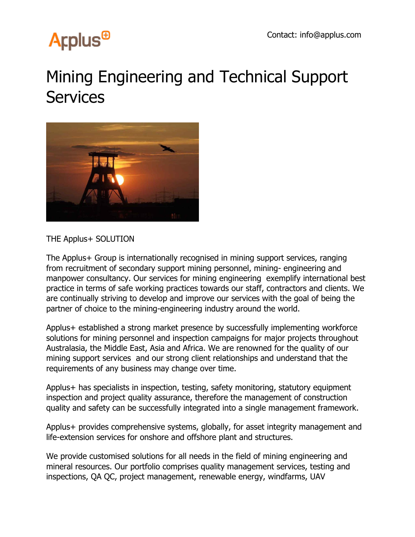## **Arplus<sup>®</sup>**

## Mining Engineering and Technical Support **Services**



THE Applus+ SOLUTION

The Applus+ Group is internationally recognised in mining support services, ranging from recruitment of secondary support mining personnel, mining- engineering and manpower consultancy. Our services for mining engineering exemplify international best practice in terms of safe working practices towards our staff, contractors and clients. We are continually striving to develop and improve our services with the goal of being the partner of choice to the mining-engineering industry around the world.

Applus+ established a strong market presence by successfully implementing workforce solutions for mining personnel and inspection campaigns for major projects throughout Australasia, the Middle East, Asia and Africa. We are renowned for the quality of our mining support services and our strong client relationships and understand that the requirements of any business may change over time.

Applus+ has specialists in inspection, testing, safety monitoring, statutory equipment inspection and project quality assurance, therefore the management of construction quality and safety can be successfully integrated into a single management framework.

Applus+ provides comprehensive systems, globally, for asset integrity management and life-extension services for onshore and offshore plant and structures.

We provide customised solutions for all needs in the field of mining engineering and mineral resources. Our portfolio comprises quality management services, testing and inspections, QA QC, project management, renewable energy, windfarms, UAV